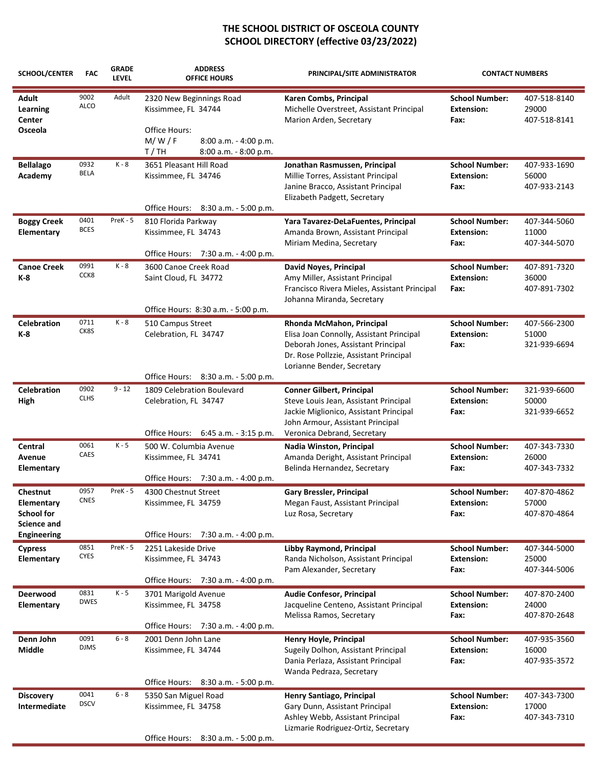| <b>SCHOOL/CENTER</b>                                              | <b>FAC</b>          | <b>GRADE</b><br><b>LEVEL</b> | <b>ADDRESS</b><br><b>OFFICE HOURS</b>                                                                                             | PRINCIPAL/SITE ADMINISTRATOR                                                                                                                                                           | <b>CONTACT NUMBERS</b>                             |                                       |
|-------------------------------------------------------------------|---------------------|------------------------------|-----------------------------------------------------------------------------------------------------------------------------------|----------------------------------------------------------------------------------------------------------------------------------------------------------------------------------------|----------------------------------------------------|---------------------------------------|
| <b>Adult</b><br>Learning<br>Center<br>Osceola                     | 9002<br><b>ALCO</b> | Adult                        | 2320 New Beginnings Road<br>Kissimmee, FL 34744<br>Office Hours:<br>M/W/F<br>8:00 a.m. - 4:00 p.m.                                | Karen Combs, Principal<br>Michelle Overstreet, Assistant Principal<br>Marion Arden, Secretary                                                                                          | <b>School Number:</b><br><b>Extension:</b><br>Fax: | 407-518-8140<br>29000<br>407-518-8141 |
| <b>Bellalago</b><br>Academy                                       | 0932<br>BELA        | K - 8                        | T/TH<br>8:00 a.m. - 8:00 p.m.<br>3651 Pleasant Hill Road<br>Kissimmee, FL 34746<br>Office Hours: 8:30 a.m. - 5:00 p.m.            | Jonathan Rasmussen, Principal<br>Millie Torres, Assistant Principal<br>Janine Bracco, Assistant Principal<br>Elizabeth Padgett, Secretary                                              | <b>School Number:</b><br><b>Extension:</b><br>Fax: | 407-933-1690<br>56000<br>407-933-2143 |
| <b>Boggy Creek</b><br>Elementary                                  | 0401<br><b>BCES</b> | PreK - 5                     | 810 Florida Parkway<br>Kissimmee, FL 34743<br>Office Hours: 7:30 a.m. - 4:00 p.m.                                                 | Yara Tavarez-DeLaFuentes, Principal<br>Amanda Brown, Assistant Principal<br>Miriam Medina, Secretary                                                                                   | <b>School Number:</b><br><b>Extension:</b><br>Fax: | 407-344-5060<br>11000<br>407-344-5070 |
| <b>Canoe Creek</b><br>K-8                                         | 0991<br>CCK8        | K - 8                        | 3600 Canoe Creek Road<br>Saint Cloud, FL 34772<br>Office Hours: 8:30 a.m. - 5:00 p.m.                                             | David Noyes, Principal<br>Amy Miller, Assistant Principal<br>Francisco Rivera Mieles, Assistant Principal<br>Johanna Miranda, Secretary                                                | <b>School Number:</b><br><b>Extension:</b><br>Fax: | 407-891-7320<br>36000<br>407-891-7302 |
| <b>Celebration</b><br>K-8                                         | 0711<br>CK8S        | K - 8                        | 510 Campus Street<br>Celebration, FL 34747                                                                                        | Rhonda McMahon, Principal<br>Elisa Joan Connolly, Assistant Principal<br>Deborah Jones, Assistant Principal<br>Dr. Rose Pollzzie, Assistant Principal<br>Lorianne Bender, Secretary    | <b>School Number:</b><br><b>Extension:</b><br>Fax: | 407-566-2300<br>51000<br>321-939-6694 |
| <b>Celebration</b><br>High                                        | 0902<br><b>CLHS</b> | $9 - 12$                     | Office Hours: 8:30 a.m. - 5:00 p.m.<br>1809 Celebration Boulevard<br>Celebration, FL 34747<br>Office Hours: 6:45 a.m. - 3:15 p.m. | <b>Conner Gilbert, Principal</b><br>Steve Louis Jean, Assistant Principal<br>Jackie Miglionico, Assistant Principal<br>John Armour, Assistant Principal<br>Veronica Debrand, Secretary | <b>School Number:</b><br><b>Extension:</b><br>Fax: | 321-939-6600<br>50000<br>321-939-6652 |
| Central<br>Avenue<br><b>Elementary</b>                            | 0061<br>CAES        | $K - 5$                      | 500 W. Columbia Avenue<br>Kissimmee, FL 34741<br>Office Hours: 7:30 a.m. - 4:00 p.m.                                              | Nadia Winston, Principal<br>Amanda Deright, Assistant Principal<br>Belinda Hernandez, Secretary                                                                                        | <b>School Number:</b><br><b>Extension:</b><br>Fax: | 407-343-7330<br>26000<br>407-343-7332 |
| <b>Chestnut</b><br>Elementary<br>School for<br><b>Science and</b> | 0957<br>CNES        | PreK - 5                     | 4300 Chestnut Street<br>Kissimmee, FL 34759                                                                                       | Gary Bressler, Principal<br>Megan Faust, Assistant Principal<br>Luz Rosa, Secretary                                                                                                    | <b>School Number:</b><br><b>Extension:</b><br>Fax: | 407-870-4862<br>57000<br>407-870-4864 |
| <b>Engineering</b><br><b>Cypress</b><br>Elementary                | 0851<br><b>CYES</b> | PreK - 5                     | Office Hours: 7:30 a.m. - 4:00 p.m.<br>2251 Lakeside Drive<br>Kissimmee, FL 34743<br>Office Hours: 7:30 a.m. - 4:00 p.m.          | Libby Raymond, Principal<br>Randa Nicholson, Assistant Principal<br>Pam Alexander, Secretary                                                                                           | <b>School Number:</b><br><b>Extension:</b><br>Fax: | 407-344-5000<br>25000<br>407-344-5006 |
| Deerwood<br>Elementary                                            | 0831<br><b>DWES</b> | $K - 5$                      | 3701 Marigold Avenue<br>Kissimmee, FL 34758                                                                                       | Audie Confesor, Principal<br>Jacqueline Centeno, Assistant Principal<br>Melissa Ramos, Secretary                                                                                       | <b>School Number:</b><br><b>Extension:</b><br>Fax: | 407-870-2400<br>24000<br>407-870-2648 |
| Denn John<br><b>Middle</b>                                        | 0091<br><b>DJMS</b> | $6 - 8$                      | Office Hours: 7:30 a.m. - 4:00 p.m.<br>2001 Denn John Lane<br>Kissimmee, FL 34744<br>Office Hours: 8:30 a.m. - 5:00 p.m.          | Henry Hoyle, Principal<br>Sugeily Dolhon, Assistant Principal<br>Dania Perlaza, Assistant Principal<br>Wanda Pedraza, Secretary                                                        | <b>School Number:</b><br><b>Extension:</b><br>Fax: | 407-935-3560<br>16000<br>407-935-3572 |
| <b>Discovery</b><br>Intermediate                                  | 0041<br><b>DSCV</b> | $6 - 8$                      | 5350 San Miguel Road<br>Kissimmee, FL 34758<br>Office Hours: 8:30 a.m. - 5:00 p.m.                                                | Henry Santiago, Principal<br>Gary Dunn, Assistant Principal<br>Ashley Webb, Assistant Principal<br>Lizmarie Rodriguez-Ortiz, Secretary                                                 | <b>School Number:</b><br><b>Extension:</b><br>Fax: | 407-343-7300<br>17000<br>407-343-7310 |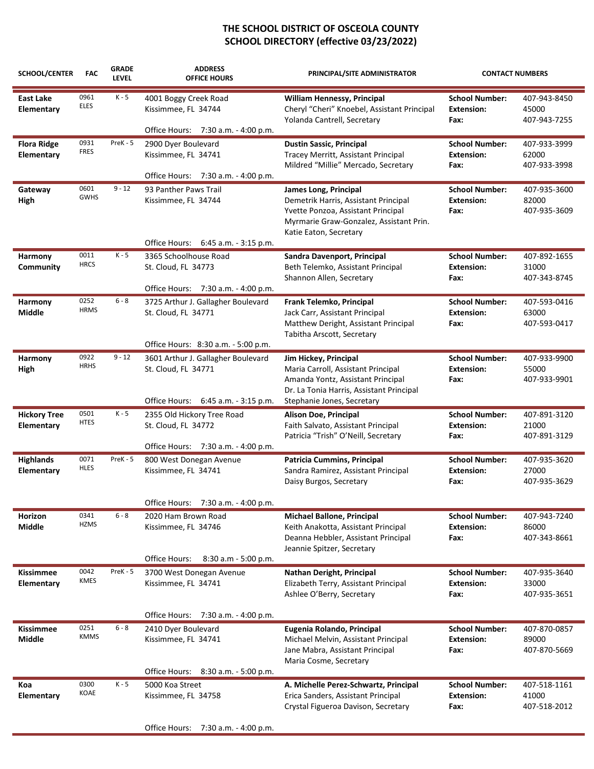| SCHOOL/CENTER                    | <b>FAC</b><br>0961<br><b>ELES</b> | <b>GRADE</b><br><b>LEVEL</b><br>$K - 5$ | <b>ADDRESS</b><br><b>OFFICE HOURS</b><br>4001 Boggy Creek Road<br>Kissimmee, FL 34744            | PRINCIPAL/SITE ADMINISTRATOR<br>William Hennessy, Principal<br>Cheryl "Cheri" Knoebel, Assistant Principal<br>Yolanda Cantrell, Secretary                                | <b>CONTACT NUMBERS</b>                             |                                       |
|----------------------------------|-----------------------------------|-----------------------------------------|--------------------------------------------------------------------------------------------------|--------------------------------------------------------------------------------------------------------------------------------------------------------------------------|----------------------------------------------------|---------------------------------------|
| East Lake<br>Elementary          |                                   |                                         |                                                                                                  |                                                                                                                                                                          | <b>School Number:</b><br><b>Extension:</b><br>Fax: | 407-943-8450<br>45000<br>407-943-7255 |
|                                  |                                   |                                         | Office Hours: 7:30 a.m. - 4:00 p.m.                                                              |                                                                                                                                                                          |                                                    |                                       |
| <b>Flora Ridge</b><br>Elementary | 0931<br>FRES                      | PreK - 5                                | 2900 Dyer Boulevard<br>Kissimmee, FL 34741<br>Office Hours: 7:30 a.m. - 4:00 p.m.                | <b>Dustin Sassic, Principal</b><br>Tracey Merritt, Assistant Principal<br>Mildred "Millie" Mercado, Secretary                                                            | <b>School Number:</b><br><b>Extension:</b><br>Fax: | 407-933-3999<br>62000<br>407-933-3998 |
| Gateway<br>High                  | 0601<br><b>GWHS</b>               | $9 - 12$                                | 93 Panther Paws Trail<br>Kissimmee, FL 34744                                                     | James Long, Principal<br>Demetrik Harris, Assistant Principal<br>Yvette Ponzoa, Assistant Principal<br>Myrmarie Graw-Gonzalez, Assistant Prin.<br>Katie Eaton, Secretary | <b>School Number:</b><br><b>Extension:</b><br>Fax: | 407-935-3600<br>82000<br>407-935-3609 |
|                                  |                                   |                                         | Office Hours: 6:45 a.m. - 3:15 p.m.                                                              |                                                                                                                                                                          |                                                    |                                       |
| Harmony<br>Community             | 0011<br><b>HRCS</b>               | $K - 5$                                 | 3365 Schoolhouse Road<br>St. Cloud, FL 34773<br>Office Hours: 7:30 a.m. - 4:00 p.m.              | Sandra Davenport, Principal<br>Beth Telemko, Assistant Principal<br>Shannon Allen, Secretary                                                                             | <b>School Number:</b><br><b>Extension:</b><br>Fax: | 407-892-1655<br>31000<br>407-343-8745 |
| Harmony<br>Middle                | 0252<br><b>HRMS</b>               | $6 - 8$                                 | 3725 Arthur J. Gallagher Boulevard<br>St. Cloud, FL 34771<br>Office Hours: 8:30 a.m. - 5:00 p.m. | Frank Telemko, Principal<br>Jack Carr, Assistant Principal<br>Matthew Deright, Assistant Principal<br>Tabitha Arscott, Secretary                                         | <b>School Number:</b><br><b>Extension:</b><br>Fax: | 407-593-0416<br>63000<br>407-593-0417 |
| Harmony                          | 0922                              | $9 - 12$                                | 3601 Arthur J. Gallagher Boulevard                                                               | Jim Hickey, Principal                                                                                                                                                    | <b>School Number:</b>                              | 407-933-9900                          |
| High                             | <b>HRHS</b>                       |                                         | St. Cloud, FL 34771<br>Office Hours: 6:45 a.m. - 3:15 p.m.                                       | Maria Carroll, Assistant Principal<br>Amanda Yontz, Assistant Principal<br>Dr. La Tonia Harris, Assistant Principal<br>Stephanie Jones, Secretary                        | <b>Extension:</b><br>Fax:                          | 55000<br>407-933-9901                 |
| <b>Hickory Tree</b>              | 0501                              | $K - 5$                                 | 2355 Old Hickory Tree Road                                                                       | Alison Doe, Principal                                                                                                                                                    | <b>School Number:</b>                              | 407-891-3120                          |
| Elementary                       | <b>HTES</b>                       |                                         | St. Cloud, FL 34772                                                                              | Faith Salvato, Assistant Principal<br>Patricia "Trish" O'Neill, Secretary                                                                                                | <b>Extension:</b><br>Fax:                          | 21000<br>407-891-3129                 |
|                                  |                                   | $PreK - 5$                              | Office Hours: 7:30 a.m. - 4:00 p.m.                                                              |                                                                                                                                                                          |                                                    |                                       |
| <b>Highlands</b><br>Elementary   | 0071<br><b>HLES</b>               |                                         | 800 West Donegan Avenue<br>Kissimmee, FL 34741                                                   | Patricia Cummins, Principal<br>Sandra Ramirez, Assistant Principal<br>Daisy Burgos, Secretary                                                                            | <b>School Number:</b><br><b>Extension:</b><br>Fax: | 407-935-3620<br>27000<br>407-935-3629 |
|                                  |                                   |                                         | 7:30 a.m. - 4:00 p.m.<br>Office Hours:                                                           |                                                                                                                                                                          |                                                    |                                       |
| Horizon<br>Middle                | 0341<br><b>HZMS</b>               | $6 - 8$                                 | 2020 Ham Brown Road<br>Kissimmee, FL 34746                                                       | <b>Michael Ballone, Principal</b><br>Keith Anakotta, Assistant Principal<br>Deanna Hebbler, Assistant Principal<br>Jeannie Spitzer, Secretary                            | <b>School Number:</b><br><b>Extension:</b><br>Fax: | 407-943-7240<br>86000<br>407-343-8661 |
|                                  |                                   |                                         | Office Hours:<br>8:30 a.m - 5:00 p.m.                                                            |                                                                                                                                                                          |                                                    |                                       |
| Kissimmee<br>Elementary          | 0042<br><b>KMES</b>               | PreK - 5                                | 3700 West Donegan Avenue<br>Kissimmee, FL 34741                                                  | Nathan Deright, Principal<br>Elizabeth Terry, Assistant Principal<br>Ashlee O'Berry, Secretary                                                                           | <b>School Number:</b><br><b>Extension:</b><br>Fax: | 407-935-3640<br>33000<br>407-935-3651 |
|                                  |                                   |                                         | Office Hours: 7:30 a.m. - 4:00 p.m.                                                              |                                                                                                                                                                          |                                                    |                                       |
| Kissimmee<br><b>Middle</b>       | 0251<br><b>KMMS</b>               | $6 - 8$                                 | 2410 Dyer Boulevard<br>Kissimmee, FL 34741                                                       | Eugenia Rolando, Principal<br>Michael Melvin, Assistant Principal<br>Jane Mabra, Assistant Principal<br>Maria Cosme, Secretary                                           | <b>School Number:</b><br><b>Extension:</b><br>Fax: | 407-870-0857<br>89000<br>407-870-5669 |
|                                  |                                   |                                         | Office Hours: 8:30 a.m. - 5:00 p.m.                                                              |                                                                                                                                                                          |                                                    |                                       |
| Koa<br>Elementary                | 0300<br>KOAE                      | $K - 5$                                 | 5000 Koa Street<br>Kissimmee, FL 34758                                                           | A. Michelle Perez-Schwartz, Principal<br>Erica Sanders, Assistant Principal<br>Crystal Figueroa Davison, Secretary                                                       | <b>School Number:</b><br><b>Extension:</b><br>Fax: | 407-518-1161<br>41000<br>407-518-2012 |
|                                  |                                   |                                         | Office Hours: 7:30 a.m. - 4:00 p.m.                                                              |                                                                                                                                                                          |                                                    |                                       |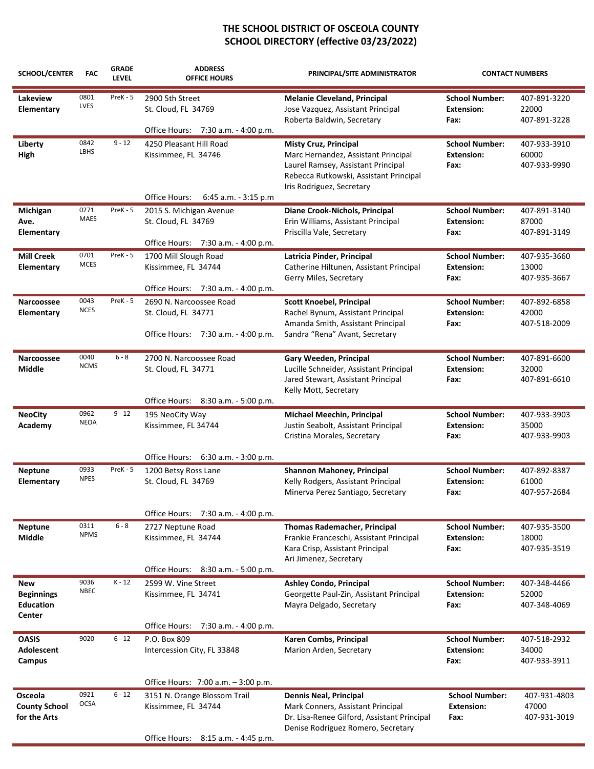| SCHOOL/CENTER                                                 | <b>FAC</b>          | <b>GRADE</b><br><b>LEVEL</b> | <b>ADDRESS</b><br><b>OFFICE HOURS</b>                                                      | PRINCIPAL/SITE ADMINISTRATOR                                                                                                                                                     | <b>CONTACT NUMBERS</b>                             |                                       |
|---------------------------------------------------------------|---------------------|------------------------------|--------------------------------------------------------------------------------------------|----------------------------------------------------------------------------------------------------------------------------------------------------------------------------------|----------------------------------------------------|---------------------------------------|
| Lakeview<br>Elementary                                        | 0801<br>LVES        | PreK - 5                     | 2900 5th Street<br>St. Cloud, FL 34769                                                     | <b>Melanie Cleveland, Principal</b><br>Jose Vazquez, Assistant Principal<br>Roberta Baldwin, Secretary                                                                           | <b>School Number:</b><br><b>Extension:</b><br>Fax: | 407-891-3220<br>22000<br>407-891-3228 |
|                                                               |                     |                              | Office Hours: 7:30 a.m. - 4:00 p.m.                                                        |                                                                                                                                                                                  |                                                    |                                       |
| Liberty<br>High                                               | 0842<br>LBHS        | $9 - 12$                     | 4250 Pleasant Hill Road<br>Kissimmee, FL 34746                                             | <b>Misty Cruz, Principal</b><br>Marc Hernandez, Assistant Principal<br>Laurel Ramsey, Assistant Principal<br>Rebecca Rutkowski, Assistant Principal<br>Iris Rodriguez, Secretary | <b>School Number:</b><br><b>Extension:</b><br>Fax: | 407-933-3910<br>60000<br>407-933-9990 |
|                                                               |                     |                              | Office Hours:<br>6:45 a.m. - 3:15 p.m                                                      |                                                                                                                                                                                  |                                                    |                                       |
| Michigan<br>Ave.<br>Elementary                                | 0271<br><b>MAES</b> | PreK - 5                     | 2015 S. Michigan Avenue<br>St. Cloud, FL 34769                                             | Diane Crook-Nichols, Principal<br>Erin Williams, Assistant Principal<br>Priscilla Vale, Secretary                                                                                | <b>School Number:</b><br><b>Extension:</b><br>Fax: | 407-891-3140<br>87000<br>407-891-3149 |
|                                                               |                     |                              | Office Hours: 7:30 a.m. - 4:00 p.m.                                                        |                                                                                                                                                                                  |                                                    |                                       |
| <b>Mill Creek</b><br>Elementary                               | 0701<br><b>MCES</b> | PreK - 5                     | 1700 Mill Slough Road<br>Kissimmee, FL 34744                                               | Latricia Pinder, Principal<br>Catherine Hiltunen, Assistant Principal<br>Gerry Miles, Secretary                                                                                  | <b>School Number:</b><br><b>Extension:</b><br>Fax: | 407-935-3660<br>13000<br>407-935-3667 |
|                                                               |                     |                              | Office Hours: 7:30 a.m. - 4:00 p.m.                                                        |                                                                                                                                                                                  |                                                    |                                       |
| Narcoossee<br>Elementary                                      | 0043<br><b>NCES</b> | PreK - 5                     | 2690 N. Narcoossee Road<br>St. Cloud, FL 34771<br>Office Hours: 7:30 a.m. - 4:00 p.m.      | <b>Scott Knoebel, Principal</b><br>Rachel Bynum, Assistant Principal<br>Amanda Smith, Assistant Principal<br>Sandra "Rena" Avant, Secretary                                      | <b>School Number:</b><br><b>Extension:</b><br>Fax: | 407-892-6858<br>42000<br>407-518-2009 |
| Narcoossee<br>Middle                                          | 0040<br><b>NCMS</b> | $6 - 8$                      | 2700 N. Narcoossee Road<br>St. Cloud, FL 34771                                             | Gary Weeden, Principal<br>Lucille Schneider, Assistant Principal<br>Jared Stewart, Assistant Principal<br>Kelly Mott, Secretary                                                  | <b>School Number:</b><br><b>Extension:</b><br>Fax: | 407-891-6600<br>32000<br>407-891-6610 |
|                                                               | 0962                | $9 - 12$                     | Office Hours: 8:30 a.m. - 5:00 p.m.                                                        |                                                                                                                                                                                  |                                                    |                                       |
| <b>NeoCity</b><br>Academy                                     | <b>NEOA</b>         |                              | 195 NeoCity Way<br>Kissimmee, FL 34744                                                     | <b>Michael Meechin, Principal</b><br>Justin Seabolt, Assistant Principal<br>Cristina Morales, Secretary                                                                          | <b>School Number:</b><br><b>Extension:</b><br>Fax: | 407-933-3903<br>35000<br>407-933-9903 |
|                                                               |                     |                              | Office Hours: 6:30 a.m. - 3:00 p.m.                                                        |                                                                                                                                                                                  |                                                    |                                       |
| <b>Neptune</b><br>Elementary                                  | 0933<br><b>NPES</b> | PreK - 5                     | 1200 Betsy Ross Lane<br>St. Cloud, FL 34769                                                | Shannon Mahoney, Principal<br>Kelly Rodgers, Assistant Principal<br>Minerva Perez Santiago, Secretary                                                                            | <b>School Number:</b><br><b>Extension:</b><br>Fax: | 407-892-8387<br>61000<br>407-957-2684 |
|                                                               |                     |                              | Office Hours: 7:30 a.m. - 4:00 p.m.                                                        |                                                                                                                                                                                  |                                                    |                                       |
| <b>Neptune</b><br>Middle                                      | 0311<br><b>NPMS</b> | $6 - 8$                      | 2727 Neptune Road<br>Kissimmee, FL 34744                                                   | <b>Thomas Rademacher, Principal</b><br>Frankie Franceschi, Assistant Principal<br>Kara Crisp, Assistant Principal<br>Ari Jimenez, Secretary                                      | <b>School Number:</b><br><b>Extension:</b><br>Fax: | 407-935-3500<br>18000<br>407-935-3519 |
|                                                               |                     |                              | Office Hours: 8:30 a.m. - 5:00 p.m.                                                        |                                                                                                                                                                                  |                                                    |                                       |
| <b>New</b><br><b>Beginnings</b><br><b>Education</b><br>Center | 9036<br><b>NBEC</b> | $K - 12$                     | 2599 W. Vine Street<br>Kissimmee, FL 34741                                                 | <b>Ashley Condo, Principal</b><br>Georgette Paul-Zin, Assistant Principal<br>Mayra Delgado, Secretary                                                                            | <b>School Number:</b><br><b>Extension:</b><br>Fax: | 407-348-4466<br>52000<br>407-348-4069 |
|                                                               |                     |                              | Office Hours: 7:30 a.m. - 4:00 p.m.                                                        |                                                                                                                                                                                  |                                                    |                                       |
| <b>OASIS</b><br><b>Adolescent</b><br>Campus                   | 9020                | $6 - 12$                     | P.O. Box 809<br>Intercession City, FL 33848                                                | Karen Combs, Principal<br>Marion Arden, Secretary                                                                                                                                | <b>School Number:</b><br><b>Extension:</b><br>Fax: | 407-518-2932<br>34000<br>407-933-3911 |
|                                                               |                     |                              | Office Hours: 7:00 a.m. - 3:00 p.m.                                                        |                                                                                                                                                                                  |                                                    |                                       |
| Osceola<br><b>County School</b><br>for the Arts               | 0921<br><b>OCSA</b> | $6 - 12$                     | 3151 N. Orange Blossom Trail<br>Kissimmee, FL 34744<br>Office Hours: 8:15 a.m. - 4:45 p.m. | <b>Dennis Neal, Principal</b><br>Mark Conners, Assistant Principal<br>Dr. Lisa-Renee Gilford, Assistant Principal<br>Denise Rodriguez Romero, Secretary                          | <b>School Number:</b><br><b>Extension:</b><br>Fax: | 407-931-4803<br>47000<br>407-931-3019 |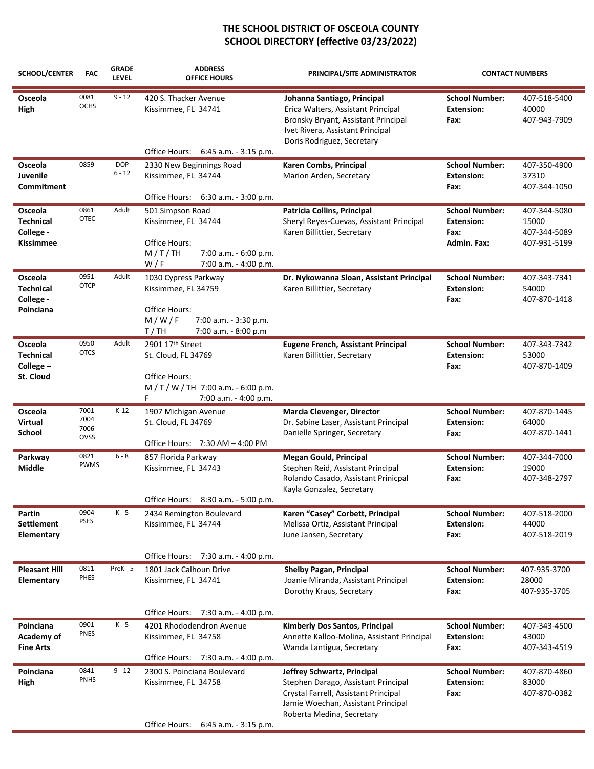| <b>SCHOOL/CENTER</b>                                         | <b>FAC</b>                   | <b>GRADE</b><br><b>LEVEL</b> | <b>ADDRESS</b><br><b>OFFICE HOURS</b>                                                                                          | PRINCIPAL/SITE ADMINISTRATOR                                                                                                                                                  | <b>CONTACT NUMBERS</b>                                            |                                                       |
|--------------------------------------------------------------|------------------------------|------------------------------|--------------------------------------------------------------------------------------------------------------------------------|-------------------------------------------------------------------------------------------------------------------------------------------------------------------------------|-------------------------------------------------------------------|-------------------------------------------------------|
| Osceola<br>High                                              | 0081<br><b>OCHS</b>          | $9 - 12$                     | 420 S. Thacker Avenue<br>Kissimmee, FL 34741<br>Office Hours: 6:45 a.m. - 3:15 p.m.                                            | Johanna Santiago, Principal<br>Erica Walters, Assistant Principal<br>Bronsky Bryant, Assistant Principal<br>Ivet Rivera, Assistant Principal<br>Doris Rodriguez, Secretary    | <b>School Number:</b><br><b>Extension:</b><br>Fax:                | 407-518-5400<br>40000<br>407-943-7909                 |
| Osceola<br>Juvenile<br>Commitment                            | 0859                         | <b>DOP</b><br>$6 - 12$       | 2330 New Beginnings Road<br>Kissimmee, FL 34744<br>Office Hours: 6:30 a.m. - 3:00 p.m.                                         | Karen Combs, Principal<br>Marion Arden, Secretary                                                                                                                             | <b>School Number:</b><br><b>Extension:</b><br>Fax:                | 407-350-4900<br>37310<br>407-344-1050                 |
| Osceola<br><b>Technical</b><br>College -<br><b>Kissimmee</b> | 0861<br><b>OTEC</b>          | Adult                        | 501 Simpson Road<br>Kissimmee, FL 34744<br>Office Hours:<br>7:00 a.m. - 6:00 p.m.<br>M/T/TH<br>7:00 a.m. - 4:00 p.m.<br>W/F    | Patricia Collins, Principal<br>Sheryl Reyes-Cuevas, Assistant Principal<br>Karen Billittier, Secretary                                                                        | <b>School Number:</b><br><b>Extension:</b><br>Fax:<br>Admin. Fax: | 407-344-5080<br>15000<br>407-344-5089<br>407-931-5199 |
| Osceola<br><b>Technical</b><br>College -<br>Poinciana        | 0951<br><b>OTCP</b>          | Adult                        | 1030 Cypress Parkway<br>Kissimmee, FL 34759<br>Office Hours:<br>M/W/F<br>7:00 a.m. - 3:30 p.m.<br>T/TH<br>7:00 a.m. - 8:00 p.m | Dr. Nykowanna Sloan, Assistant Principal<br>Karen Billittier, Secretary                                                                                                       | <b>School Number:</b><br><b>Extension:</b><br>Fax:                | 407-343-7341<br>54000<br>407-870-1418                 |
| Osceola<br><b>Technical</b><br>College-<br>St. Cloud         | 0950<br><b>OTCS</b>          | Adult                        | 2901 17th Street<br>St. Cloud, FL 34769<br>Office Hours:<br>$M/T/W/TH$ 7:00 a.m. - 6:00 p.m.<br>7:00 a.m. - 4:00 p.m.<br>F.    | <b>Eugene French, Assistant Principal</b><br>Karen Billittier, Secretary                                                                                                      | <b>School Number:</b><br><b>Extension:</b><br>Fax:                | 407-343-7342<br>53000<br>407-870-1409                 |
| Osceola<br>Virtual<br>School                                 | 7001<br>7004<br>7006<br>OVSS | $K-12$                       | 1907 Michigan Avenue<br>St. Cloud, FL 34769<br>Office Hours: 7:30 AM - 4:00 PM                                                 | <b>Marcia Clevenger, Director</b><br>Dr. Sabine Laser, Assistant Principal<br>Danielle Springer, Secretary                                                                    | <b>School Number:</b><br><b>Extension:</b><br>Fax:                | 407-870-1445<br>64000<br>407-870-1441                 |
| Parkway<br>Middle                                            | 0821<br>PWMS                 | $6 - 8$                      | 857 Florida Parkway<br>Kissimmee, FL 34743<br>Office Hours: 8:30 a.m. - 5:00 p.m.                                              | <b>Megan Gould, Principal</b><br>Stephen Reid, Assistant Principal<br>Rolando Casado, Assistant Prinicpal<br>Kayla Gonzalez, Secretary                                        | <b>School Number:</b><br><b>Extension:</b><br>Fax:                | 407-344-7000<br>19000<br>407-348-2797                 |
| Partin<br><b>Settlement</b><br>Elementary                    | 0904<br><b>PSES</b>          | $K - 5$                      | 2434 Remington Boulevard<br>Kissimmee, FL 34744<br>Office Hours: 7:30 a.m. - 4:00 p.m.                                         | Karen "Casey" Corbett, Principal<br>Melissa Ortiz, Assistant Principal<br>June Jansen, Secretary                                                                              | <b>School Number:</b><br><b>Extension:</b><br>Fax:                | 407-518-2000<br>44000<br>407-518-2019                 |
| <b>Pleasant Hill</b><br>Elementary                           | 0811<br>PHES                 | PreK - 5                     | 1801 Jack Calhoun Drive<br>Kissimmee, FL 34741                                                                                 | Shelby Pagan, Principal<br>Joanie Miranda, Assistant Principal<br>Dorothy Kraus, Secretary                                                                                    | <b>School Number:</b><br><b>Extension:</b><br>Fax:                | 407-935-3700<br>28000<br>407-935-3705                 |
| Poinciana<br><b>Academy of</b><br><b>Fine Arts</b>           | 0901<br>PNES                 | $K - 5$                      | Office Hours: 7:30 a.m. - 4:00 p.m.<br>4201 Rhododendron Avenue<br>Kissimmee, FL 34758<br>Office Hours: 7:30 a.m. - 4:00 p.m.  | Kimberly Dos Santos, Principal<br>Annette Kalloo-Molina, Assistant Principal<br>Wanda Lantigua, Secretary                                                                     | <b>School Number:</b><br><b>Extension:</b><br>Fax:                | 407-343-4500<br>43000<br>407-343-4519                 |
| Poinciana<br>High                                            | 0841<br><b>PNHS</b>          | $9 - 12$                     | 2300 S. Poinciana Boulevard<br>Kissimmee, FL 34758<br>Office Hours: 6:45 a.m. - 3:15 p.m.                                      | Jeffrey Schwartz, Principal<br>Stephen Darago, Assistant Principal<br>Crystal Farrell, Assistant Principal<br>Jamie Woechan, Assistant Principal<br>Roberta Medina, Secretary | <b>School Number:</b><br><b>Extension:</b><br>Fax:                | 407-870-4860<br>83000<br>407-870-0382                 |